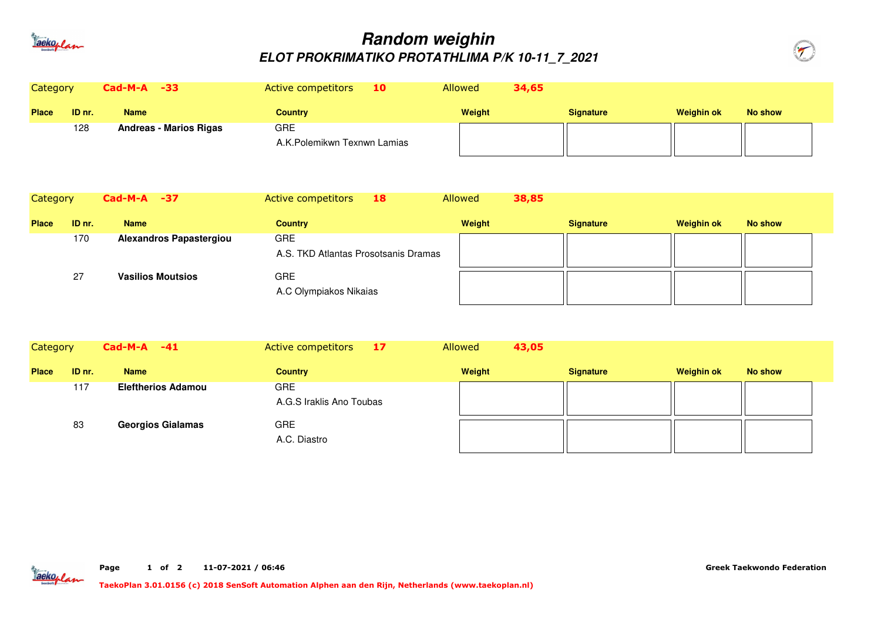

## **Random weighinELOT PROKRIMATIKO PROTATHLIMA P/K 10-11\_7\_2021**



| Category     |        | $Cad-M-A -33$                 | 10 <sup>7</sup><br>Active competitors | <b>Allowed</b> | 34,65            |                   |         |
|--------------|--------|-------------------------------|---------------------------------------|----------------|------------------|-------------------|---------|
| <b>Place</b> | ID nr. | <b>Name</b>                   | <b>Country</b>                        | Weight         | <b>Signature</b> | <b>Weighin ok</b> | No show |
|              | 128    | <b>Andreas - Marios Rigas</b> | <b>GRE</b>                            |                |                  |                   |         |
|              |        |                               | A.K.Polemikwn Texnwn Lamias           |                |                  |                   |         |

| Category     |        | $Cad-M-A -37$                  | Active competitors<br>18                           | <b>Allowed</b><br>38,85 |                  |                   |         |
|--------------|--------|--------------------------------|----------------------------------------------------|-------------------------|------------------|-------------------|---------|
| <b>Place</b> | ID nr. | <b>Name</b>                    | <b>Country</b>                                     | Weight                  | <b>Signature</b> | <b>Weighin ok</b> | No show |
|              | 170    | <b>Alexandros Papastergiou</b> | <b>GRE</b><br>A.S. TKD Atlantas Prosotsanis Dramas |                         |                  |                   |         |
|              | 27     | <b>Vasilios Moutsios</b>       | <b>GRE</b><br>A.C Olympiakos Nikaias               |                         |                  |                   |         |

| Category     |        | $Cad-M-A -41$             | 17<br>Active competitors        | Allowed<br>43,05 |                  |            |                |
|--------------|--------|---------------------------|---------------------------------|------------------|------------------|------------|----------------|
| <b>Place</b> | ID nr. | <b>Name</b>               | <b>Country</b>                  | Weight           | <b>Signature</b> | Weighin ok | <b>No show</b> |
|              | 117    | <b>Eleftherios Adamou</b> | GRE<br>A.G.S Iraklis Ano Toubas |                  |                  |            |                |
|              | 83     | <b>Georgios Gialamas</b>  | <b>GRE</b><br>A.C. Diastro      |                  |                  |            |                |